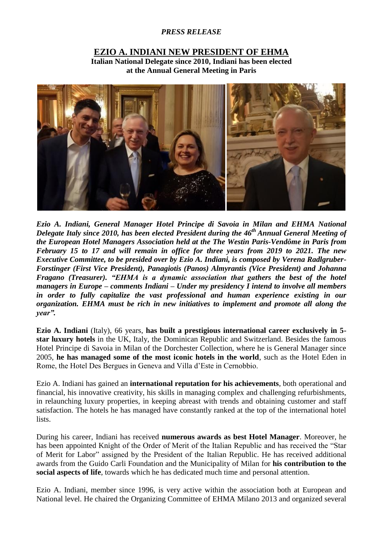## *PRESS RELEASE*

## **EZIO A. INDIANI NEW PRESIDENT OF EHMA**

**Italian National Delegate since 2010, Indiani has been elected at the Annual General Meeting in Paris**



*Ezio A. Indiani, General Manager Hotel Principe di Savoia in Milan and EHMA National Delegate Italy since 2010, has been elected President during the 46th Annual General Meeting of the European Hotel Managers Association held at the The Westin Paris-Vendôme in Paris from February 15 to 17 and will remain in office for three years from 2019 to 2021. The new Executive Committee, to be presided over by Ezio A. Indiani, is composed by Verena Radlgruber-Forstinger (First Vice President), Panagiotis (Panos) Almyrantis (Vice President) and Johanna Fragano (Treasurer). "EHMA is a dynamic association that gathers the best of the hotel managers in Europe – comments Indiani – Under my presidency I intend to involve all members in order to fully capitalize the vast professional and human experience existing in our organization. EHMA must be rich in new initiatives to implement and promote all along the year".*

**Ezio A. Indiani** (Italy), 66 years, **has built a prestigious international career exclusively in 5 star luxury hotels** in the UK, Italy, the Dominican Republic and Switzerland. Besides the famous Hotel Principe di Savoia in Milan of the Dorchester Collection, where he is General Manager since 2005, **he has managed some of the most iconic hotels in the world**, such as the Hotel Eden in Rome, the Hotel Des Bergues in Geneva and Villa d'Este in Cernobbio.

Ezio A. Indiani has gained an **international reputation for his achievements**, both operational and financial, his innovative creativity, his skills in managing complex and challenging refurbishments, in relaunching luxury properties, in keeping abreast with trends and obtaining customer and staff satisfaction. The hotels he has managed have constantly ranked at the top of the international hotel lists.

During his career, Indiani has received **numerous awards as best Hotel Manager**. Moreover, he has been appointed Knight of the Order of Merit of the Italian Republic and has received the "Star of Merit for Labor" assigned by the President of the Italian Republic. He has received additional awards from the Guido Carli Foundation and the Municipality of Milan for **his contribution to the social aspects of life**, towards which he has dedicated much time and personal attention.

Ezio A. Indiani, member since 1996, is very active within the association both at European and National level. He chaired the Organizing Committee of EHMA Milano 2013 and organized several